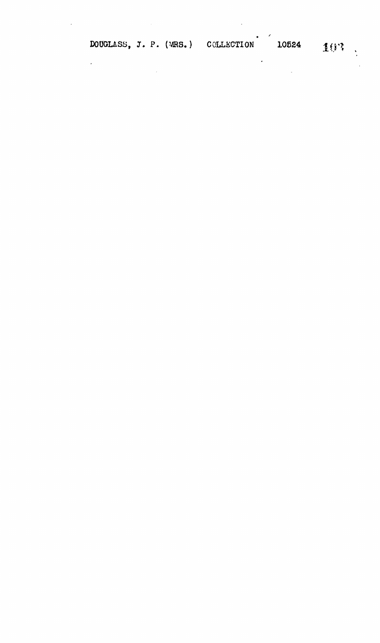$\mathcal{L}^{\text{max}}_{\text{max}}$  ,  $\mathcal{L}^{\text{max}}_{\text{max}}$ 

 $\mathcal{L}^{\text{max}}$ 

 $\mathcal{L}_{\mathcal{A}}$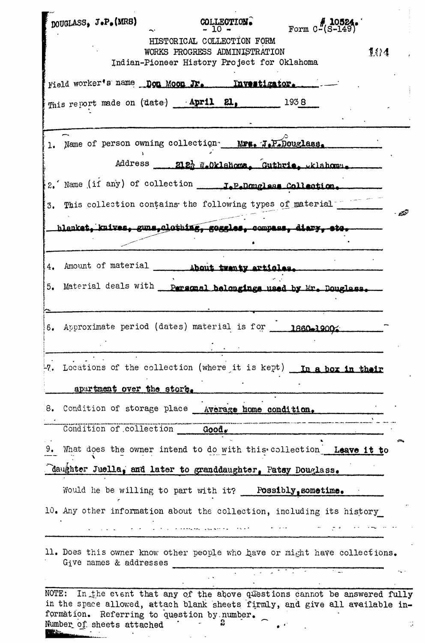| $\texttt{poudLASS}_\bullet$ J.P. (MRS)                                            | COLLECTION.                                                                  | Form $C$ <sup>T</sup> $(S-149)$                                                                                                                       |  |
|-----------------------------------------------------------------------------------|------------------------------------------------------------------------------|-------------------------------------------------------------------------------------------------------------------------------------------------------|--|
|                                                                                   | HISTORICAL COLLECTION FORM                                                   |                                                                                                                                                       |  |
|                                                                                   | WORKS PROGRESS ADMINISTRATION<br>Indian-Pioneer History Project for Oklahoma | 1.04                                                                                                                                                  |  |
|                                                                                   |                                                                              |                                                                                                                                                       |  |
| Field worker's name Don Moon Jr. Investigator.                                    |                                                                              |                                                                                                                                                       |  |
| This report made on (date) April 21, 1938                                         |                                                                              |                                                                                                                                                       |  |
|                                                                                   |                                                                              |                                                                                                                                                       |  |
| Name of person owning collection MPs. J.P.Douglass.                               |                                                                              |                                                                                                                                                       |  |
|                                                                                   |                                                                              | Address 212 % Oklahoma. Guthrie, wklahoma.                                                                                                            |  |
|                                                                                   |                                                                              |                                                                                                                                                       |  |
| 3. This collection contains the following types of material -                     |                                                                              |                                                                                                                                                       |  |
|                                                                                   |                                                                              | hlanket. knives. guns.clothing, goggles. compass, diary, etc.                                                                                         |  |
|                                                                                   |                                                                              |                                                                                                                                                       |  |
|                                                                                   |                                                                              |                                                                                                                                                       |  |
| Amount of material<br>4.                                                          | About twenty articles                                                        |                                                                                                                                                       |  |
| Material deals with<br>5.                                                         |                                                                              | Personal belongings used by Mr. Douglass.                                                                                                             |  |
|                                                                                   |                                                                              |                                                                                                                                                       |  |
| 6. Approximate period (dates) material is for 1860-1900.                          |                                                                              |                                                                                                                                                       |  |
|                                                                                   |                                                                              |                                                                                                                                                       |  |
|                                                                                   |                                                                              | 7. Locations of the collection (where it is kept) In a box in their                                                                                   |  |
| apartment over the store.                                                         |                                                                              |                                                                                                                                                       |  |
| 8. Condition of storage place Average home condition.                             |                                                                              |                                                                                                                                                       |  |
| Condition of collection Good.                                                     |                                                                              |                                                                                                                                                       |  |
|                                                                                   |                                                                              |                                                                                                                                                       |  |
|                                                                                   |                                                                              | 9. What does the owner intend to do with this collection Leave it to                                                                                  |  |
| daughter Juella, and later to granddaughter, Patsy Douglass.                      |                                                                              |                                                                                                                                                       |  |
| Would he be willing to part with it? Possibly, sometime.                          |                                                                              |                                                                                                                                                       |  |
|                                                                                   |                                                                              | 10. Any other information about the collection, including its history                                                                                 |  |
|                                                                                   |                                                                              |                                                                                                                                                       |  |
| Give names & addresses                                                            |                                                                              | 11. Does this owner know other people who have or might have collections.                                                                             |  |
|                                                                                   |                                                                              |                                                                                                                                                       |  |
| NOTE:<br>formation. Referring to question by number.<br>Number of sheets attached |                                                                              | In the event that any of the above questions cannot be answered fully<br>in the space allowed, attach blank sheets firmly, and give all available in- |  |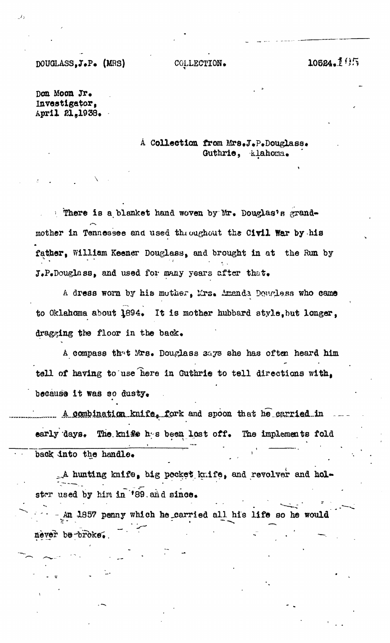## DOUGLASS,J.P. (MRS) COLLECTION. 10624.105

**J)**

DOE Moon Jr. investigator, April 81,1938.

## A Collection from Mrs.J.P.Douglass. Guthrie, klahoma.

*\* There Is a blanket hand woven by Mr. Douglas'B grand\* mother in Tennessee and used throughout the Civil War by his father, William Keener Douglass, and brought in at the Run by J.P.Douglass, and used for many years after that.

A dress worn by his mother, Mrs. Amanda Dougless who came to Oklahoma about 4894. It is mother hubbard style,but longer, dragging the floor in the back.

A compass th^t Mrs. Douglass 3ays she has often heard him tell of haviag to "use'here in Guthrie to tell directions with, because it was so dusty.

a combination knife, fork and spoon that he carried in early days. The knise hes been lost off. The implements fold back into the handle.

 $\_$ A hunting knif $\Theta$ , big pocket knife, and revolver and holster used by him in '89 and since.

An 1857 penny which he carried all his life so he would never be-broke.